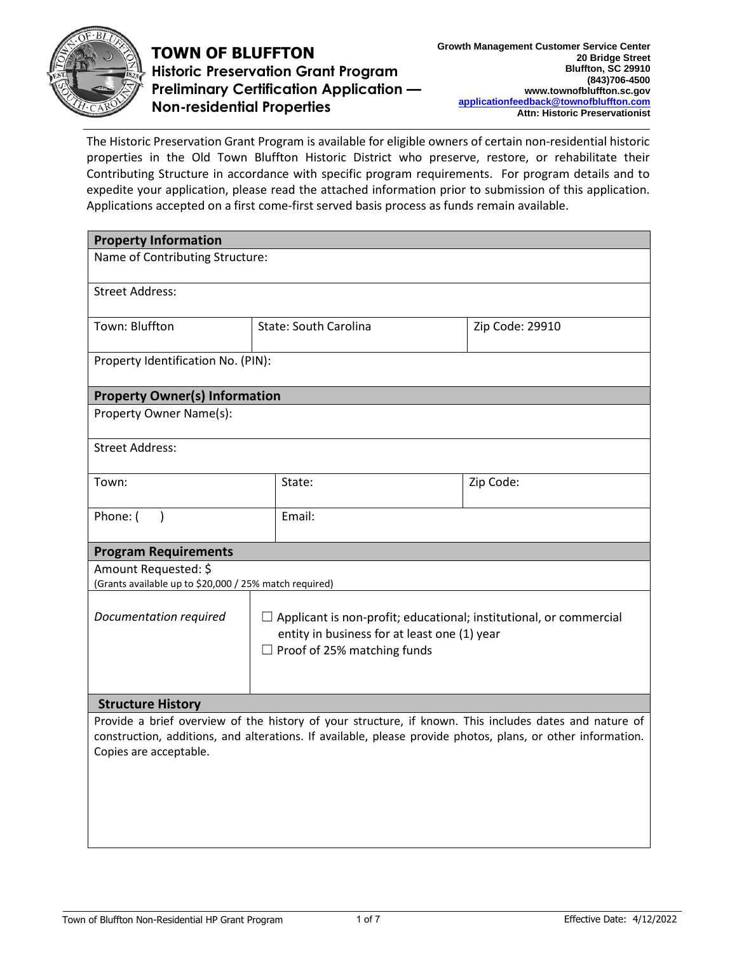

## **TOWN OF BLUFFTON Historic Preservation Grant Program Preliminary Certification Application — Non-residential Properties**

The Historic Preservation Grant Program is available for eligible owners of certain non-residential historic properties in the Old Town Bluffton Historic District who preserve, restore, or rehabilitate their Contributing Structure in accordance with specific program requirements. For program details and to expedite your application, please read the attached information prior to submission of this application. Applications accepted on a first come-first served basis process as funds remain available.

| <b>Property Information</b>                                                    |                                                                                                                                                                 |                                                                                                                                                                                                                       |                 |  |  |
|--------------------------------------------------------------------------------|-----------------------------------------------------------------------------------------------------------------------------------------------------------------|-----------------------------------------------------------------------------------------------------------------------------------------------------------------------------------------------------------------------|-----------------|--|--|
| Name of Contributing Structure:                                                |                                                                                                                                                                 |                                                                                                                                                                                                                       |                 |  |  |
| <b>Street Address:</b>                                                         |                                                                                                                                                                 |                                                                                                                                                                                                                       |                 |  |  |
| Town: Bluffton                                                                 | <b>State: South Carolina</b>                                                                                                                                    |                                                                                                                                                                                                                       | Zip Code: 29910 |  |  |
| Property Identification No. (PIN):                                             |                                                                                                                                                                 |                                                                                                                                                                                                                       |                 |  |  |
| <b>Property Owner(s) Information</b>                                           |                                                                                                                                                                 |                                                                                                                                                                                                                       |                 |  |  |
| Property Owner Name(s):                                                        |                                                                                                                                                                 |                                                                                                                                                                                                                       |                 |  |  |
| <b>Street Address:</b>                                                         |                                                                                                                                                                 |                                                                                                                                                                                                                       |                 |  |  |
| Town:                                                                          |                                                                                                                                                                 | State:                                                                                                                                                                                                                | Zip Code:       |  |  |
| Phone: (<br>$\rightarrow$                                                      |                                                                                                                                                                 | Email:                                                                                                                                                                                                                |                 |  |  |
| <b>Program Requirements</b>                                                    |                                                                                                                                                                 |                                                                                                                                                                                                                       |                 |  |  |
| Amount Requested: \$<br>(Grants available up to \$20,000 / 25% match required) |                                                                                                                                                                 |                                                                                                                                                                                                                       |                 |  |  |
| Documentation required                                                         | $\Box$ Applicant is non-profit; educational; institutional, or commercial<br>entity in business for at least one (1) year<br>$\Box$ Proof of 25% matching funds |                                                                                                                                                                                                                       |                 |  |  |
| <b>Structure History</b>                                                       |                                                                                                                                                                 |                                                                                                                                                                                                                       |                 |  |  |
| Copies are acceptable.                                                         |                                                                                                                                                                 | Provide a brief overview of the history of your structure, if known. This includes dates and nature of<br>construction, additions, and alterations. If available, please provide photos, plans, or other information. |                 |  |  |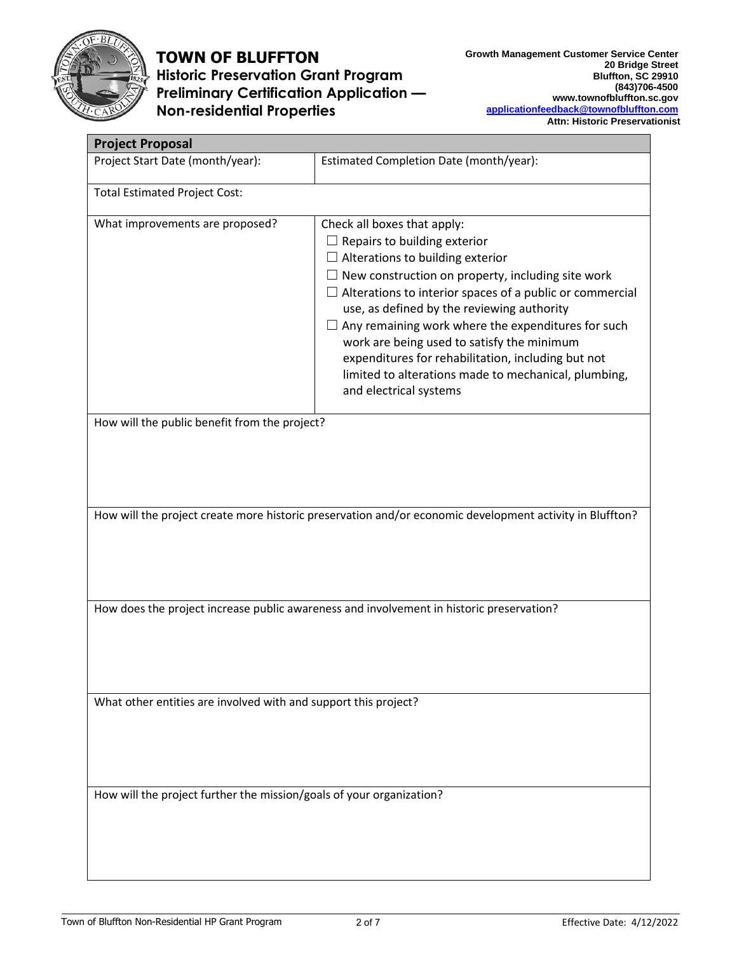

# **TOWN OF BLUFFTON Historic Preservation Grant Program Preliminary Certification Application — Non-residential Properties**

| <b>Project Proposal</b>                                                                                  |                                                                                                             |  |  |  |
|----------------------------------------------------------------------------------------------------------|-------------------------------------------------------------------------------------------------------------|--|--|--|
| Project Start Date (month/year):                                                                         | Estimated Completion Date (month/year):                                                                     |  |  |  |
| <b>Total Estimated Project Cost:</b>                                                                     |                                                                                                             |  |  |  |
| What improvements are proposed?                                                                          | Check all boxes that apply:                                                                                 |  |  |  |
|                                                                                                          | $\Box$ Repairs to building exterior                                                                         |  |  |  |
|                                                                                                          | $\Box$ Alterations to building exterior                                                                     |  |  |  |
|                                                                                                          | $\Box$ New construction on property, including site work                                                    |  |  |  |
|                                                                                                          | Alterations to interior spaces of a public or commercial<br>ப<br>use, as defined by the reviewing authority |  |  |  |
|                                                                                                          | Any remaining work where the expenditures for such                                                          |  |  |  |
|                                                                                                          | work are being used to satisfy the minimum                                                                  |  |  |  |
|                                                                                                          | expenditures for rehabilitation, including but not                                                          |  |  |  |
|                                                                                                          | limited to alterations made to mechanical, plumbing,                                                        |  |  |  |
|                                                                                                          | and electrical systems                                                                                      |  |  |  |
|                                                                                                          |                                                                                                             |  |  |  |
| How will the public benefit from the project?                                                            |                                                                                                             |  |  |  |
|                                                                                                          |                                                                                                             |  |  |  |
|                                                                                                          |                                                                                                             |  |  |  |
|                                                                                                          |                                                                                                             |  |  |  |
|                                                                                                          |                                                                                                             |  |  |  |
| How will the project create more historic preservation and/or economic development activity in Bluffton? |                                                                                                             |  |  |  |
|                                                                                                          |                                                                                                             |  |  |  |
|                                                                                                          |                                                                                                             |  |  |  |
|                                                                                                          |                                                                                                             |  |  |  |
|                                                                                                          |                                                                                                             |  |  |  |
|                                                                                                          | How does the project increase public awareness and involvement in historic preservation?                    |  |  |  |
|                                                                                                          |                                                                                                             |  |  |  |
|                                                                                                          |                                                                                                             |  |  |  |
|                                                                                                          |                                                                                                             |  |  |  |
|                                                                                                          |                                                                                                             |  |  |  |
| What other entities are involved with and support this project?                                          |                                                                                                             |  |  |  |
|                                                                                                          |                                                                                                             |  |  |  |
|                                                                                                          |                                                                                                             |  |  |  |
|                                                                                                          |                                                                                                             |  |  |  |
|                                                                                                          |                                                                                                             |  |  |  |
|                                                                                                          |                                                                                                             |  |  |  |
| How will the project further the mission/goals of your organization?                                     |                                                                                                             |  |  |  |
|                                                                                                          |                                                                                                             |  |  |  |
|                                                                                                          |                                                                                                             |  |  |  |
|                                                                                                          |                                                                                                             |  |  |  |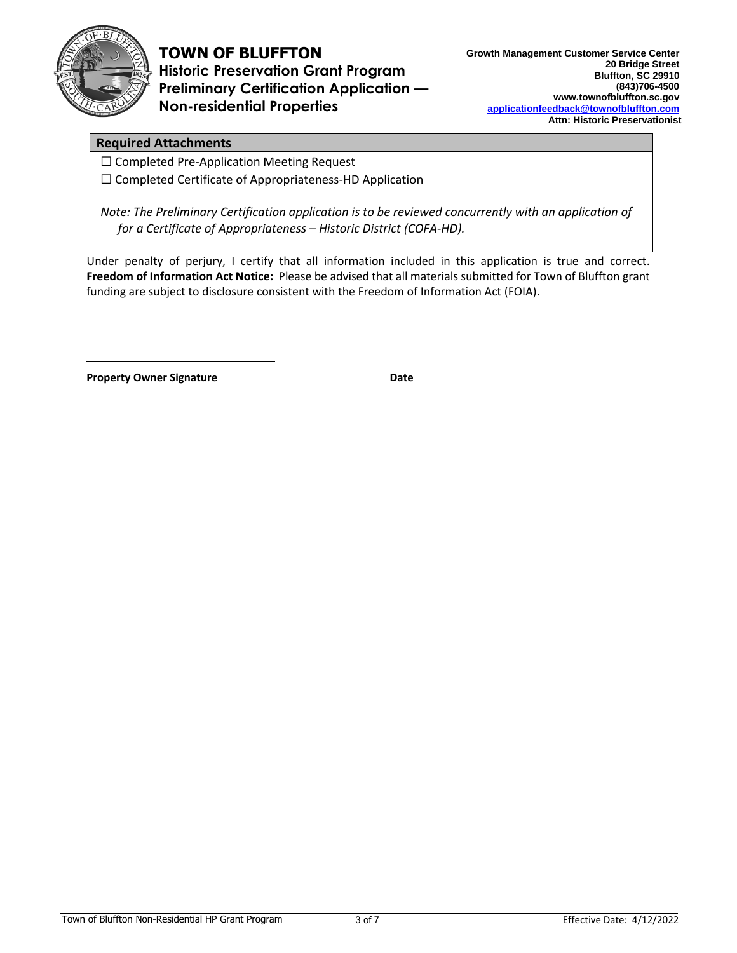

# **TOWN OF BLUFFTON**

**Historic Preservation Grant Program Preliminary Certification Application — Non-residential Properties** 

#### **Required Attachments**

☐ Completed Pre-Application Meeting Request

☐ Completed Certificate of Appropriateness-HD Application

*Note: The Preliminary Certification application is to be reviewed concurrently with an application of for a Certificate of Appropriateness – Historic District (COFA-HD).*

Under penalty of perjury, I certify that all information included in this application is true and correct. **Freedom of Information Act Notice:** Please be advised that all materials submitted for Town of Bluffton grant funding are subject to disclosure consistent with the Freedom of Information Act (FOIA).

**Property Owner Signature Date Date**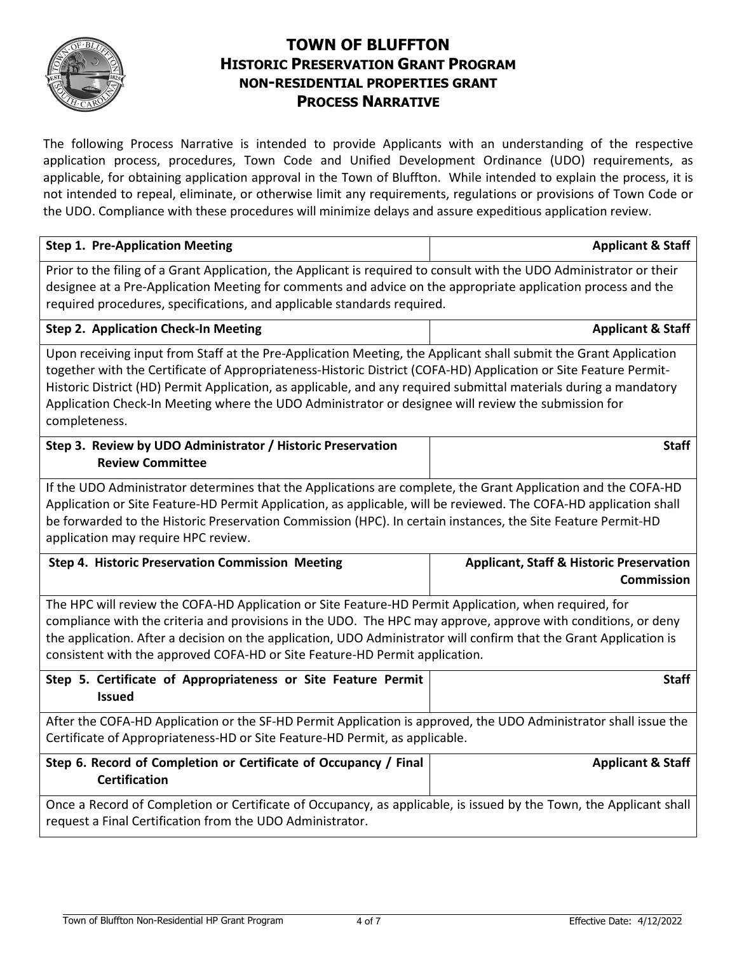

## **TOWN OF BLUFFTON HISTORIC PRESERVATION GRANT PROGRAM NON-RESIDENTIAL PROPERTIES GRANT PROCESS NARRATIVE**

The following Process Narrative is intended to provide Applicants with an understanding of the respective application process, procedures, Town Code and Unified Development Ordinance (UDO) requirements, as applicable, for obtaining application approval in the Town of Bluffton. While intended to explain the process, it is not intended to repeal, eliminate, or otherwise limit any requirements, regulations or provisions of Town Code or the UDO. Compliance with these procedures will minimize delays and assure expeditious application review.

| <b>Step 1. Pre-Application Meeting</b>                                                                                                                                                                                                                                                                                                                                                                                                                                            | <b>Applicant &amp; Staff</b>                                             |  |  |  |
|-----------------------------------------------------------------------------------------------------------------------------------------------------------------------------------------------------------------------------------------------------------------------------------------------------------------------------------------------------------------------------------------------------------------------------------------------------------------------------------|--------------------------------------------------------------------------|--|--|--|
| Prior to the filing of a Grant Application, the Applicant is required to consult with the UDO Administrator or their<br>designee at a Pre-Application Meeting for comments and advice on the appropriate application process and the<br>required procedures, specifications, and applicable standards required.                                                                                                                                                                   |                                                                          |  |  |  |
| <b>Step 2. Application Check-In Meeting</b>                                                                                                                                                                                                                                                                                                                                                                                                                                       | <b>Applicant &amp; Staff</b>                                             |  |  |  |
| Upon receiving input from Staff at the Pre-Application Meeting, the Applicant shall submit the Grant Application<br>together with the Certificate of Appropriateness-Historic District (COFA-HD) Application or Site Feature Permit-<br>Historic District (HD) Permit Application, as applicable, and any required submittal materials during a mandatory<br>Application Check-In Meeting where the UDO Administrator or designee will review the submission for<br>completeness. |                                                                          |  |  |  |
| Step 3. Review by UDO Administrator / Historic Preservation<br><b>Review Committee</b>                                                                                                                                                                                                                                                                                                                                                                                            | <b>Staff</b>                                                             |  |  |  |
| If the UDO Administrator determines that the Applications are complete, the Grant Application and the COFA-HD<br>Application or Site Feature-HD Permit Application, as applicable, will be reviewed. The COFA-HD application shall<br>be forwarded to the Historic Preservation Commission (HPC). In certain instances, the Site Feature Permit-HD<br>application may require HPC review.                                                                                         |                                                                          |  |  |  |
| <b>Step 4. Historic Preservation Commission Meeting</b>                                                                                                                                                                                                                                                                                                                                                                                                                           | <b>Applicant, Staff &amp; Historic Preservation</b><br><b>Commission</b> |  |  |  |
| The HPC will review the COFA-HD Application or Site Feature-HD Permit Application, when required, for<br>compliance with the criteria and provisions in the UDO. The HPC may approve, approve with conditions, or deny<br>the application. After a decision on the application, UDO Administrator will confirm that the Grant Application is<br>consistent with the approved COFA-HD or Site Feature-HD Permit application.                                                       |                                                                          |  |  |  |
| Step 5. Certificate of Appropriateness or Site Feature Permit<br><b>Issued</b>                                                                                                                                                                                                                                                                                                                                                                                                    | <b>Staff</b>                                                             |  |  |  |
| After the COFA-HD Application or the SF-HD Permit Application is approved, the UDO Administrator shall issue the<br>Certificate of Appropriateness-HD or Site Feature-HD Permit, as applicable.                                                                                                                                                                                                                                                                                   |                                                                          |  |  |  |
| Step 6. Record of Completion or Certificate of Occupancy / Final<br><b>Certification</b>                                                                                                                                                                                                                                                                                                                                                                                          | <b>Applicant &amp; Staff</b>                                             |  |  |  |
| Once a Record of Completion or Certificate of Occupancy, as applicable, is issued by the Town, the Applicant shall<br>request a Final Certification from the UDO Administrator.                                                                                                                                                                                                                                                                                                   |                                                                          |  |  |  |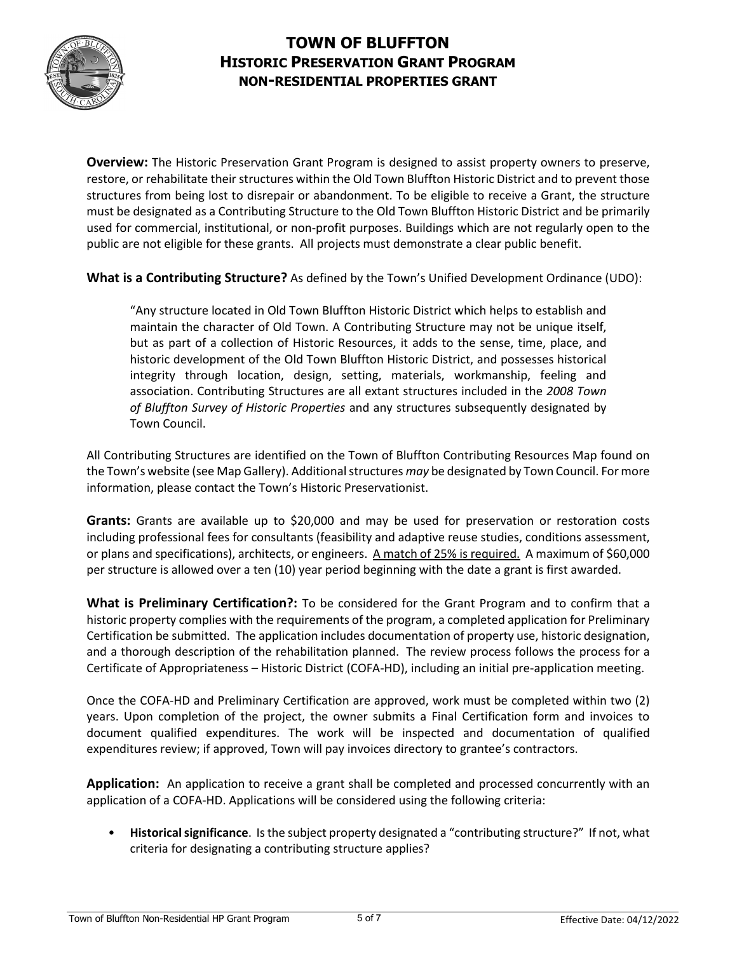

## **TOWN OF BLUFFTON HISTORIC PRESERVATION GRANT PROGRAM NON-RESIDENTIAL PROPERTIES GRANT**

**Overview:** The Historic Preservation Grant Program is designed to assist property owners to preserve, restore, or rehabilitate their structures within the Old Town Bluffton Historic District and to prevent those structures from being lost to disrepair or abandonment. To be eligible to receive a Grant, the structure must be designated as a Contributing Structure to the Old Town Bluffton Historic District and be primarily used for commercial, institutional, or non-profit purposes. Buildings which are not regularly open to the public are not eligible for these grants. All projects must demonstrate a clear public benefit.

**What is a Contributing Structure?** As defined by the Town's Unified Development Ordinance (UDO):

"Any structure located in Old Town Bluffton Historic District which helps to establish and maintain the character of Old Town. A Contributing Structure may not be unique itself, but as part of a collection of Historic Resources, it adds to the sense, time, place, and historic development of the Old Town Bluffton Historic District, and possesses historical integrity through location, design, setting, materials, workmanship, feeling and association. Contributing Structures are all extant structures included in the *2008 Town of Bluffton Survey of Historic Properties* and any structures subsequently designated by Town Council.

All Contributing Structures are identified on the Town of Bluffton Contributing Resources Map found on the Town's website (see Map Gallery). Additional structures *may* be designated by Town Council. For more information, please contact the Town's Historic Preservationist.

**Grants:** Grants are available up to \$20,000 and may be used for preservation or restoration costs including professional fees for consultants (feasibility and adaptive reuse studies, conditions assessment, or plans and specifications), architects, or engineers. A match of 25% is required. A maximum of \$60,000 per structure is allowed over a ten (10) year period beginning with the date a grant is first awarded.

**What is Preliminary Certification?:** To be considered for the Grant Program and to confirm that a historic property complies with the requirements of the program, a completed application for Preliminary Certification be submitted. The application includes documentation of property use, historic designation, and a thorough description of the rehabilitation planned. The review process follows the process for a Certificate of Appropriateness – Historic District (COFA-HD), including an initial pre-application meeting.

Once the COFA-HD and Preliminary Certification are approved, work must be completed within two (2) years. Upon completion of the project, the owner submits a Final Certification form and invoices to document qualified expenditures. The work will be inspected and documentation of qualified expenditures review; if approved, Town will pay invoices directory to grantee's contractors.

**Application:** An application to receive a grant shall be completed and processed concurrently with an application of a COFA-HD. Applications will be considered using the following criteria:

• **Historical significance**. Is the subject property designated a "contributing structure?" If not, what criteria for designating a contributing structure applies?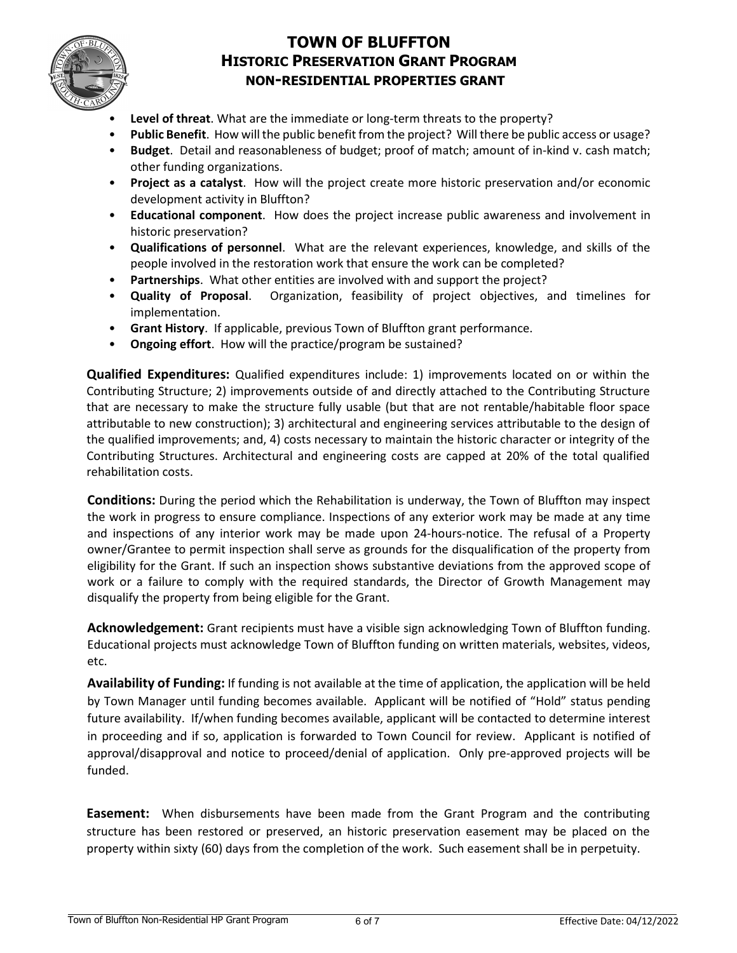

#### **TOWN OF BLUFFTON HISTORIC PRESERVATION GRANT PROGRAM NON-RESIDENTIAL PROPERTIES GRANT**

- **Level of threat**. What are the immediate or long-term threats to the property?
- **Public Benefit**. How will the public benefit from the project? Will there be public access or usage?
- **Budget**. Detail and reasonableness of budget; proof of match; amount of in-kind v. cash match; other funding organizations.
- **Project as a catalyst**. How will the project create more historic preservation and/or economic development activity in Bluffton?
- **Educational component**. How does the project increase public awareness and involvement in historic preservation?
- **Qualifications of personnel**. What are the relevant experiences, knowledge, and skills of the people involved in the restoration work that ensure the work can be completed?
- **Partnerships**. What other entities are involved with and support the project?
- **Quality of Proposal**. Organization, feasibility of project objectives, and timelines for implementation.
- **Grant History**. If applicable, previous Town of Bluffton grant performance.
- **Ongoing effort**. How will the practice/program be sustained?

**Qualified Expenditures:** Qualified expenditures include: 1) improvements located on or within the Contributing Structure; 2) improvements outside of and directly attached to the Contributing Structure that are necessary to make the structure fully usable (but that are not rentable/habitable floor space attributable to new construction); 3) architectural and engineering services attributable to the design of the qualified improvements; and, 4) costs necessary to maintain the historic character or integrity of the Contributing Structures. Architectural and engineering costs are capped at 20% of the total qualified rehabilitation costs.

**Conditions:** During the period which the Rehabilitation is underway, the Town of Bluffton may inspect the work in progress to ensure compliance. Inspections of any exterior work may be made at any time and inspections of any interior work may be made upon 24-hours-notice. The refusal of a Property owner/Grantee to permit inspection shall serve as grounds for the disqualification of the property from eligibility for the Grant. If such an inspection shows substantive deviations from the approved scope of work or a failure to comply with the required standards, the Director of Growth Management may disqualify the property from being eligible for the Grant.

**Acknowledgement:** Grant recipients must have a visible sign acknowledging Town of Bluffton funding. Educational projects must acknowledge Town of Bluffton funding on written materials, websites, videos, etc.

**Availability of Funding:** If funding is not available at the time of application, the application will be held by Town Manager until funding becomes available. Applicant will be notified of "Hold" status pending future availability. If/when funding becomes available, applicant will be contacted to determine interest in proceeding and if so, application is forwarded to Town Council for review. Applicant is notified of approval/disapproval and notice to proceed/denial of application. Only pre-approved projects will be funded.

**Easement:** When disbursements have been made from the Grant Program and the contributing structure has been restored or preserved, an historic preservation easement may be placed on the property within sixty (60) days from the completion of the work. Such easement shall be in perpetuity.